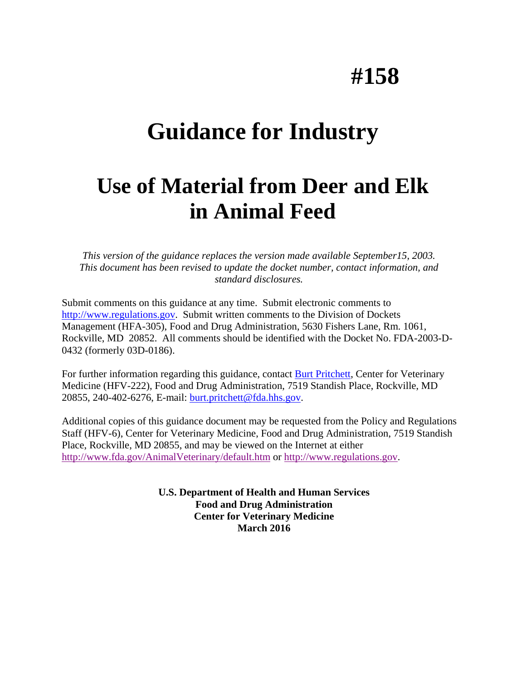# **#158**

## **Guidance for Industry**

## **Use of Material from Deer and Elk in Animal Feed**

*This version of the guidance replaces the version made available September15, 2003. This document has been revised to update the docket number, contact information, and standard disclosures.* 

Submit comments on this guidance at any time. Submit electronic comments to [http://www.regulations.gov.](http://www.regulations.gov/) Submit written comments to the Division of Dockets Management (HFA-305), Food and Drug Administration, 5630 Fishers Lane, Rm. 1061, Rockville, MD 20852. All comments should be identified with the Docket No. FDA-2003-D-0432 (formerly 03D-0186).

For further information regarding this guidance, contact [Burt Pritchett,](mailto:burt.pritchett@fda.hhs.gov) Center for Veterinary Medicine (HFV-222), Food and Drug Administration, 7519 Standish Place, Rockville, MD 20855, 240-402-6276, E-mail: [burt.pritchett@fda.hhs.gov.](mailto:burt.pritchett@fda.hhs.gov)

Additional copies of this guidance document may be requested from the Policy and Regulations Staff (HFV-6), Center for Veterinary Medicine, Food and Drug Administration, 7519 Standish Place, Rockville, MD 20855, and may be viewed on the Internet at either <http://www.fda.gov/AnimalVeterinary/default.htm>or [http://www.regulations.gov.](http://www.regulations.gov/)

> **U.S. Department of Health and Human Services Food and Drug Administration Center for Veterinary Medicine March 2016**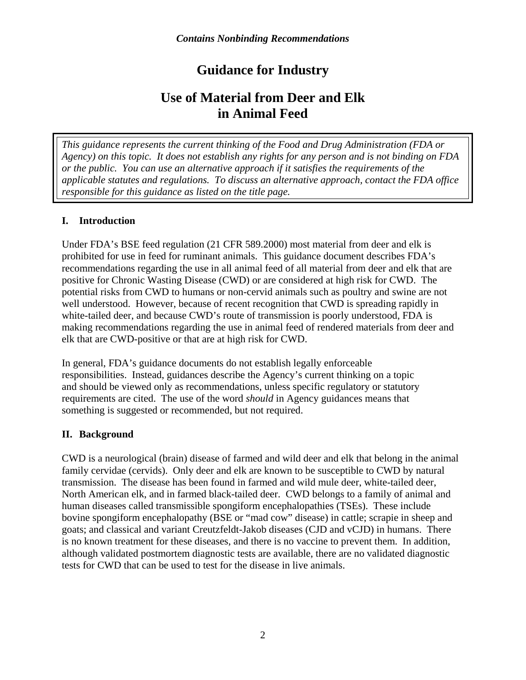### **Guidance for Industry**

### **Use of Material from Deer and Elk in Animal Feed**

*This guidance represents the current thinking of the Food and Drug Administration (FDA or Agency) on this topic. It does not establish any rights for any person and is not binding on FDA or the public. You can use an alternative approach if it satisfies the requirements of the applicable statutes and regulations. To discuss an alternative approach, contact the FDA office responsible for this guidance as listed on the title page.* 

#### **I. Introduction**

Under FDA's BSE feed regulation (21 CFR 589.2000) most material from deer and elk is prohibited for use in feed for ruminant animals. This guidance document describes FDA's recommendations regarding the use in all animal feed of all material from deer and elk that are positive for Chronic Wasting Disease (CWD) or are considered at high risk for CWD. The potential risks from CWD to humans or non-cervid animals such as poultry and swine are not well understood. However, because of recent recognition that CWD is spreading rapidly in white-tailed deer, and because CWD's route of transmission is poorly understood, FDA is making recommendations regarding the use in animal feed of rendered materials from deer and elk that are CWD-positive or that are at high risk for CWD.

In general, FDA's guidance documents do not establish legally enforceable responsibilities. Instead, guidances describe the Agency's current thinking on a topic and should be viewed only as recommendations, unless specific regulatory or statutory requirements are cited. The use of the word *should* in Agency guidances means that something is suggested or recommended, but not required.

#### **II. Background**

CWD is a neurological (brain) disease of farmed and wild deer and elk that belong in the animal family cervidae (cervids). Only deer and elk are known to be susceptible to CWD by natural transmission. The disease has been found in farmed and wild mule deer, white-tailed deer, North American elk, and in farmed black-tailed deer. CWD belongs to a family of animal and human diseases called transmissible spongiform encephalopathies (TSEs). These include bovine spongiform encephalopathy (BSE or "mad cow" disease) in cattle; scrapie in sheep and goats; and classical and variant Creutzfeldt-Jakob diseases (CJD and vCJD) in humans. There is no known treatment for these diseases, and there is no vaccine to prevent them. In addition, although validated postmortem diagnostic tests are available, there are no validated diagnostic tests for CWD that can be used to test for the disease in live animals.